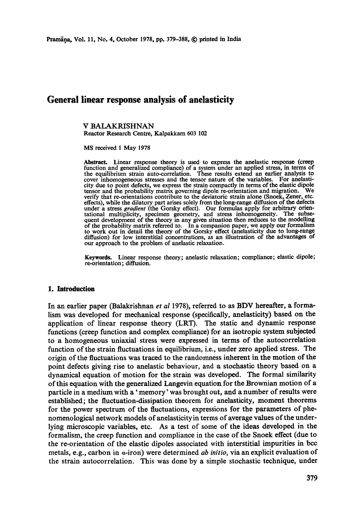# **General linear response analysis of anelasticity**

#### V BALAKRISHNAN Reactor Research Centre, Kalpakkam 603 102

MS received 1 May 1978

Abstract. Linear response theory is used to express the anelastic response (creep function and generalized compliance) of a system under an applied stress, in terms ot the equilibrium strain auto-correlation. These results extend an earlier analysis to cover inhomogeneous stresses and the tensor nature of the variables. For anelasti-city due to point defects, we express the strain compactly in terms of the elastic dipole tensor and the probability matrix governing dipole re-orientation and migration. We verify that re-orientations contribute to the deviatoric strain alone (Snoek, Zener, etc. effects), while the dilatory part arises solely from the long-range diffusion of the defects under a stress *gradient* (the Gorsky effect). Our formulas apply for arbitrary orientational multiplicity, specimen geometry, and stress inhomogeneity. The subse-quent development of the theory in any given situation then reduces to the modelling of the probability matrix referred to. In a companion paper, we apply our formalism to work out in detail the theory of the Gorsky effect (anelasticity due to long-range diffusion) for low interstitial concentrations, as an illustration of the advantages of our approach to the problem of anelastic relaxation.

Keywords. Linear response theory; anelastic relaxation; compliance; elastic dipole; re-orientation; diffusion.

#### **1. Introduction**

In an earlier paper (Balakrishnan *et al* 1978), referred to as BD¥ hereafter, a formalism was developed for mechanical response (specifically, anelasticity) based on the application of linear response theory (LRT). The static and dynamic response functions (creep function and complex compliance) for an isotropic system subjected to a homogeneous uniaxial stress were expressed in terms of the autocorrelation function of the strain fluctuations in equilibrium, i.e., under zero applied stress. The origin of the fluctuations was traced to the randomness inherent in the motion of the point defects giving rise to anelastic behaviour, and a stochastic theory based on a dynamical equation of motion for the strain was developed. The formal similarity of this equation with the generalized Langevin equation for the Brownian motion of a paxticle in a medium with a' memory' was brought out, and a number of results were established; the fluctuation-dissipation theorem for anelasticity, moment theorems for the power spectrum of the fluctuations, expressions for the parameters of phenomenological network models of anelasticityin terms of average values of the underlying microscopic variables, etc. As a test of some of the ideas developed in the formalism, the creep function and compliance in the case of the Snoek effect (due to the re-orientation of the elastic dipoles associated with interstitial impurities in bcc metals, e.g., carbon in a-iron) were determined *ab initio,* via an explicit evaluation of the strain autocorrelation. This was done by a simple stochastic technique, under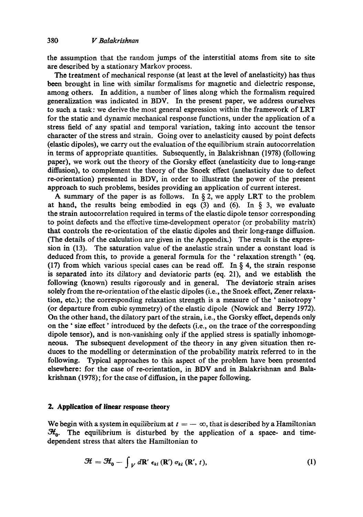the assumption that the random jumps of the interstitial atoms from site to site are described by a stationary Markov process.

The treatment of mechanical response (at least at the level of anelasticity) has thus been brought in line with similar formalisms for magnetic and dielectric response, among others. In addition, a number of lines along which the formalism required generalization was indicated in BDV. In the present paper, we address ourselves to such a task: we derive the most general expression within the framework of LRT for the static and dynamic mechanical response functions, under the application of a stress field of any spatial and temporal variation, taking into account the tensor character of the stress and strain. Going over to anelasticity caused by point defects (elastic dipoles), we carry out the evaluation of the equilibrium strain autocorrelation in terms of appropriate quantities. Subsequently, in Balakrishnan (1978) (following paper), we work out the theory of the Gorsky effect (anelasticity due to long-range diffusion), to complement the theory of the Snoek effect (anelasticity due to defect re-orientation) presented in BDV, in order to illustrate the power of the present approach to such problems, besides providing an application of current interest.

A summary of the paper is as follows. In  $\S 2$ , we apply LRT to the problem at hand, the results being embodied in eqs  $(3)$  and  $(6)$ . In  $\S$  3, we evaluate the strain autocorrelation required in terms of the elastic dipole tensor corresponding to point defects and the effective time-development operator (or probability matrix) that eontrols the re-orientation of the elastic dipoles and their long-range diffusion. (The details of the calculation are given in the Appendix.) The result is the expression in (13). The saturation value of the anelastic strain under a constant load is deduced from this, to provide a general formula for the ' relaxation strength' (eq. (17) from which various special cases can be read off. In  $\S$  4, the strain response is separated into its dilatory and deviatoric parts (eq. 21), and we establish the following (known) results rigorously and in general. The deviatorie strain arises solely from the re-orientation of the elastic dipoles (i.e., the Snoek effect, Zener relaxation, etc.); the corresponding relaxation strength is a measure of the ' anisotropy' (or departure from cubic symmetry) of the elastic dipole (Nowick and Berry 1972). On the other hand, the dilatory part of the strain, i.e., the Gorsky effect, depends only on the "size effect' introduced by the defects (i.e., on the trace of the corresponding dipole tensor), and is non-vanishing only if the applied stress is spatially inhomogeneous. The subsequent development of the theory in any given situation then reduces to the modelling or determination of the probability matrix referred to in the following. Typical approaches to this aspect of the problem have been presented elsewhere: for the case of re-orientation, in BDV and in Balakrishnan and Balakrishnan (1978); for the case of diffusion, in the paper following.

#### **2. Application of linear response theory**

We begin with a system in equilibrium at  $t = -\infty$ , that is described by a Hamiltonian  $\mathcal{H}_0$ . The equilibrium is disturbed by the application of a space- and timedependent stress that alters the Hamiltonian to

$$
\mathcal{H} = \mathcal{H}_0 - \int_V d\mathbf{R}' \, \epsilon_{kl} \left( \mathbf{R}' \right) \sigma_{kl} \left( \mathbf{R}', \, t \right), \tag{1}
$$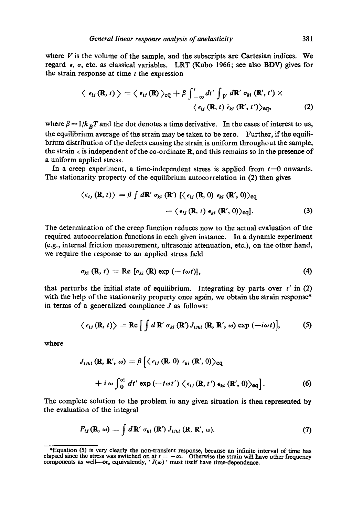where  $V$  is the volume of the sample, and the subscripts are Cartesian indices. We regard  $\epsilon$ ,  $\sigma$ , etc. as classical variables. LRT (Kubo 1966; see also BDV) gives for the strain response at time  $t$  the expression

$$
\langle \epsilon_{ij}(\mathbf{R},t) \rangle = \langle \epsilon_{ij}(\mathbf{R}) \rangle_{\text{eq}} + \beta \int_{-\infty}^{t} dt' \int_{V} d\mathbf{R}' \sigma_{kl}(\mathbf{R}',t') \times \langle \epsilon_{ij}(\mathbf{R},t) \dot{\epsilon}_{kl}(\mathbf{R}',t') \rangle_{\text{eq}}, \tag{2}
$$

where  $\beta = 1/k_B T$  and the dot denotes a time derivative. In the cases of interest to us, the equilibrium average of the strain may be taken to be zero. Further, if the equilibrium distribution of the defects causing the strain is uniform throughout the sample, the strain  $\epsilon$  is independent of the co-ordinate R, and this remains so in the presence of a uniform applied stress.

In a creep experiment, a time-independent stress is applied from  $t=0$  onwards. The stationarity property of the equilibrium autocorrelation in (2) then gives

$$
\langle \epsilon_{i,j}(\mathbf{R},t) \rangle = \beta \int d\mathbf{R}' \sigma_{kl}(\mathbf{R}') [\langle \epsilon_{i,j}(\mathbf{R},0) \epsilon_{kl}(\mathbf{R}',0) \rangle_{\text{eq}} - \langle \epsilon_{i,j}(\mathbf{R},t) \epsilon_{kl}(\mathbf{R}',0) \rangle_{\text{eq}}].
$$
 (3)

The determination of the creep function reduces now to the actual evaluation of the required autocorrelation functions in each given instance. In a dynamic experiment (e.g., internal friction measurement, ultrasonic attenuation, etc.), on the other hand, we require the response to an applied stress field

$$
\sigma_{kl}(\mathbf{R},t) = \text{Re} [\sigma_{kl}(\mathbf{R}) \exp(-i\omega t)], \qquad (4)
$$

that perturbs the initial state of equilibrium. Integrating by parts over  $t'$  in (2) with the help of the stationarity property once again, we obtain the strain response\* in terms of a generalized compliance  $J$  as follows:

$$
\langle \epsilon_{ij}(\mathbf{R},t) \rangle = \text{Re} \left[ \int d\,\mathbf{R}' \, \sigma_{kl}(\mathbf{R}') J_{ijkl}(\mathbf{R},\mathbf{R}',\omega) \exp(-i\omega t) \right], \tag{5}
$$

where

$$
J_{ijkl}(\mathbf{R}, \mathbf{R}', \omega) = \beta \left\{ \left\langle \epsilon_{ij}(\mathbf{R}, 0) \epsilon_{kl}(\mathbf{R}', 0) \right\rangle_{\text{eq}} + i \omega \int_0^\infty dt' \exp(-i\omega t') \left\langle \epsilon_{ij}(\mathbf{R}, t') \epsilon_{kl}(\mathbf{R}', 0) \right\rangle_{\text{eq}} \right\}.
$$
 (6)

The complete solution to the problem in any given situation is then represented by the evaluation of the integral

$$
F_{ij}(\mathbf{R},\,\omega)=\int d\,\mathbf{R}'\,\sigma_{kl}\,(\mathbf{R}')\,J_{ijkl}\,(\mathbf{R},\,\mathbf{R}',\,\omega). \qquad (7)
$$

<sup>\*</sup>Equation (5) is very clearly the non-transient response, because an infinite interval of time has elapsed since the stress was switched on at  $t = -\infty$ . Otherwise the strain will have other frequency components as well—or, equivalently, ' $J(\omega)$ ' must itself have time-dependence.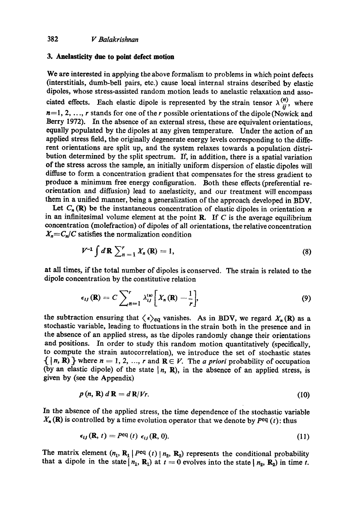## **3. Anelasticity due to point defect motion**

We are interested in applying the above formalism to problems in which point defects (interstitials, dumb-bell pairs, etc.) cause local internal strains described by elastic dipoles, whose stress-assisted random motion leads to anelastie relaxation and associated effects. Each elastic dipole is represented by the strain tensor  $\lambda_{ii}^{(n)}$ , where  $n=1, 2, ..., r$  stands for one of the r possible orientations of the dipole (Nowick and Berry 1972). In the absence of an external stress, these are equivalent orientations, equally populated by the dipoles at any given temperature. Under the action of an applied stress field, the originally degenerate energy levels corresponding to the different orientations are split up, and the system relaxes towards a population distribution determined by the split spectrum. If, in addition, there is a spatial variation of the stress across the sample, an initially uniform dispersion of elastic dipoles will diffuse to form a concentration gradient that compensates for the stress gradient to produce a minimum free energy configuration. Both these effects (preferential reorientation and diffusion) lead to anelasticity, and our treatment will encompass them in a unified manner, being a generalization of the approach developed in BDV.

Let  $C_n(\mathbb{R})$  be the instantaneous concentration of elastic dipoles in orientation n in an infinitesimal volume element at the point  $R$ . If  $C$  is the average equilibrium concentration (molefraction) of dipoles of all orientations, the relative concentration  $X_n = C_n/C$  satisfies the normalization condition

$$
V^{-1} \int d\mathbf{R} \sum_{n=1}^{r} X_{n}(\mathbf{R}) = 1, \qquad (8)
$$

at all times, if the total number of dipoles is conserved. The strain is related to the dipole concentration by the constitutive relation

$$
\epsilon_{ij}(\mathbf{R}) = C \sum_{n=1}^{r} \lambda_{ij}^{(n)} \bigg[ X_n(\mathbf{R}) - \frac{1}{r} \bigg], \tag{9}
$$

the subtraction ensuring that  $\langle \epsilon \rangle_{eq}$  vanishes. As in *BDV*, we regard  $X_n(\mathbf{R})$  as a stochastic variable, leading to fluctuations in the strain both in the presence and in the absence of an applied stress, as the dipoles randomly change their orientations and positions. In order to study this random motion quantitatively (specifically, to compute the strain autocorrelation), we introduce the set of stochastic states  $\{|n, \mathbf{R}\}\}\$  where  $n = 1, 2, ..., r$  and  $\mathbf{R} \in V$ . The *a priori* probability of occupation (by an elastic dipole) of the state  $\vert n, R$ ), in the absence of an applied stress, is given by (see the Appendix)

$$
p(n, R) dR = dR/Vr. \tag{10}
$$

In the absence of the applied stress, the time dependence of the stochastic variable  $X_n(\mathbf{R})$  is controlled by a time evolution operator that we denote by  $P^{eq}(t)$ : thus

$$
\epsilon_{ij}(\mathbf{R}, t) = P^{\text{eq}}(t) \epsilon_{ij}(\mathbf{R}, 0). \tag{11}
$$

The matrix element  $(n_1, R_1 | P^{eq} (t) | n_2, R_2)$  represents the conditional probability that a dipole in the state  $(n_1, R_1)$  at  $t = 0$  evolves into the state  $n_2, R_2$  in time t.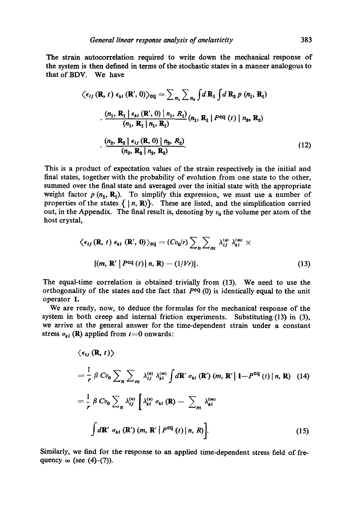The strain autocorrelation required to write down the mechanical response of the system is then defined in terms of the stochastic states in a manner analogous to that of BDV. We have

$$
\langle \epsilon_{ij}(\mathbf{R}, t) \epsilon_{kl}(\mathbf{R}', 0) \rangle_{\text{eq}} = \sum_{n_1} \sum_{n_2} \int d\mathbf{R}_1 \int d\mathbf{R}_2 p(n_1, \mathbf{R}_1)
$$

$$
\cdot \frac{(n_1, \mathbf{R}_1 | \epsilon_{kl}(\mathbf{R}', 0) | n_1, R_1)}{(n_1, \mathbf{R}_1 | n_1, \mathbf{R}_1)} (n_1, \mathbf{R}_1 | P^{\text{eq}}(t) | n_2, \mathbf{R}_2)
$$

$$
\cdot \frac{(n_2, \mathbf{R}_2 | \epsilon_{ij}(\mathbf{R}, 0) | n_2, R_2)}{(n_2, \mathbf{R}_2 | n_2, \mathbf{R}_2)}.
$$
(12)

This is a product of expectation values of the strain respectively in the initial and final states, together with the probability of evolution from one state to the other, summed over the final state and averaged over the initial state with the appropriate weight factor  $p(n_1, R_1)$ . To simplify this expression, we must use a number of properties of the states  $\{ | n, R \}$ . These are listed, and the simplification carried out, in the Appendix. The final result is, denoting by  $v_0$  the volume per atom of the host crystal,

$$
\langle \epsilon_{ij}(\mathbf{R}, t) \epsilon_{kl}(\mathbf{R}', 0) \rangle_{\text{eq}} = (Cv_0/r) \sum_n \sum_m \lambda_{ij}^{(m)} \lambda_{kl}^{(m)} \times
$$
  
[(m, \mathbf{R}' | P<sup>eq</sup>(t) | n, \mathbf{R}) - (1/Vr)]. (13)

The equal-time correlation is obtained trivially from (13). We need to use the orthogonality of the states and the fact that  $P^{eq}(0)$  is identically equal to the unit operator 1.

We are ready, now, to deduce the formulas for the mechanical response of the system in both creep and internal friction experiments. Substituting (13) in (3), we arrive at the general answer for the time-dependent strain under a constant stress  $\sigma_{kl}$  (R) applied from  $t=0$  onwards:

$$
\langle \epsilon_{ij} (\mathbf{R}, t) \rangle
$$
  
\n
$$
= \frac{1}{r} \beta C v_0 \sum_{n} \sum_{m} \lambda_{ij}^{(n)} \lambda_{kl}^{(m)} \int d\mathbf{R}' \sigma_{kl} (\mathbf{R}') (m, \mathbf{R}' | 1 - P^{\text{eq}} (t) | n, \mathbf{R}) \quad (14)
$$
  
\n
$$
= \frac{1}{r} \beta C v_0 \sum_{n} \lambda_{ij}^{(n)} \left[ \lambda_{kl}^{(n)} \sigma_{kl} (\mathbf{R}) - \sum_{m} \lambda_{kl}^{(m)} \right]
$$
  
\n
$$
\int d\mathbf{R}' \sigma_{kl} (\mathbf{R}') (m, \mathbf{R}' | P^{\text{eq}} (t) | n, R) \quad (15)
$$

Similarly, we find for the response to an applied time-dependent stress field of frequency  $\omega$  (see (4)-(7)).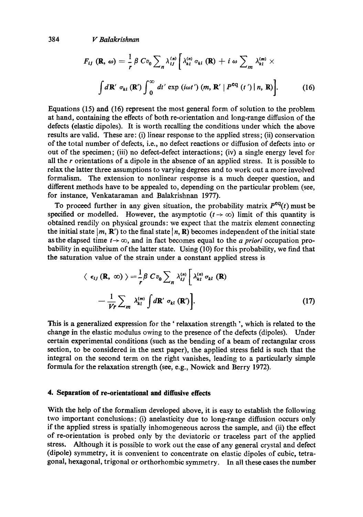384 *V Balakrishnan* 

$$
F_{ij}(\mathbf{R}, \omega) = \frac{1}{r} \beta C v_0 \sum_n \lambda_{ij}^{(n)} \left[ \lambda_{kl}^{(n)} \sigma_{kl}(\mathbf{R}) + i \omega \sum_m \lambda_{kl}^{(m)} \times \int d\mathbf{R}' \sigma_{kl}(\mathbf{R}') \int_0^\infty dt' \exp(i\omega t') \left( m, \mathbf{R}' \mid P^{\text{eq}}(t') \mid n, \mathbf{R} \right) \right]. \tag{16}
$$

Equations (15) and (16) represent the most general form of solution to the problem at hand, containing the effects of both re-orientation and long-range diffusion of the defects (elastic dipoles). It is worth recalling the conditions under which the above results are valid. These are: (i) linear response to the applied stress; (ii) conservation of the total number of defects, i.e., no defect reactions or diffusion of defects into or out of the specimen; (iii) no defect-defect interactions; (iv) a single energy level for all the r orientations of a dipole in the absence of an applied stress. It is possible to relax the latter three assumptions to varying degrees and to work out a more involved formalism. The extension to nonlinear response is a much deeper question, and different methods have to be appealed to, depending on the particular problem (see, for instance, Venkataraman and Balakrishnan 1977).

To proceed further in any given situation, the probability matrix  $P^{eq}(t)$  must be specified or modelled. However, the asymptotic  $(t \to \infty)$  limit of this quantity is obtained readily on physical grounds: we expect that the matrix element connecting the initial state  $|m, R'$  to the final state  $|n, R$ ) becomes independent of the initial state as the elapsed time  $t \to \infty$ , and in fact becomes equal to the *a priori* occupation probability in equilibrium of the latter state. Using (10) for this probability, we find that the saturation value of the strain under a constant applied stress is

$$
\langle \epsilon_{ij} (\mathbf{R}, \infty) \rangle = \frac{1}{r} \beta C v_0 \sum_n \lambda_{ij}^{(n)} \left[ \lambda_{kl}^{(n)} \sigma_{kl} (\mathbf{R}) - \frac{1}{Vr} \sum_m \lambda_{kl}^{(m)} \int d\mathbf{R}' \sigma_{kl} (\mathbf{R}') \right].
$$
 (17)

This is a generalized expression for the ' relaxation strength ', which is related to the change in the elastic modulus owing to the presence of the defects (dipoles). Under certain experimental conditions (such as the bending of a beam of rectangular cross section, to be considered in the next paper), the applied stress field is such that the integral on the second term on the right vanishes, leading to a particularly simple formula for the relaxation strength (see, e.g., Nowick and Berry 1972).

## **4. Separation of re-orientational and diffusive effects**

With the help of the formalism developed above, it is easy to establish the following two important conclusions: (i) anelasticity due to long-range diffusion occurs only if the applied stress is spatially inhomogeneous across the sample, and (ii) the effect of re-orientation is probed only by the deviatoric or traceless part of the applied stress. Although it is possible to work out the ease of any general crystal and defect (dipole) symmetry, it is convenient to concentrate on elastic dipoles of cubic, tetragonal, hexagonal, trigonal or orthorhombic symmetry. In all these cases the number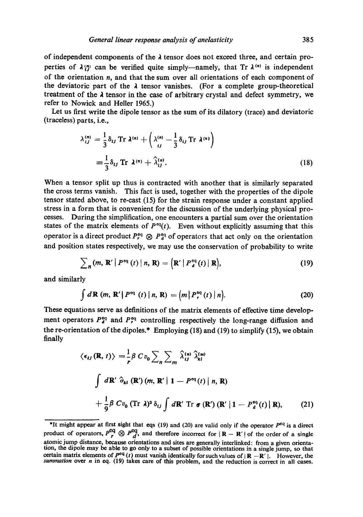of independent components of the  $\lambda$  tensor does not exceed three, and certain properties of  $\lambda_{y}^{(n)}$  can be verified quite simply--namely, that Tr  $\lambda^{(n)}$  is independent of the orientation  $n$ , and that the sum over all orientations of each component of the deviatoric part of the  $\lambda$  tensor vanishes. (For a complete group-theoretical treatment of the  $\lambda$  tensor in the case of arbitrary crystal and defect symmetry, we refer to Nowick and Heller 1965.)

Let us first write the dipole tensor as the sum of its dilatory (trace) and deviatoric (traceless) parts, i.e.,

$$
\lambda_{ij}^{(n)} = \frac{1}{3} \delta_{ij} \operatorname{Tr} \lambda^{(n)} + \left( \lambda_{ij}^{(n)} - \frac{1}{3} \delta_{ij} \operatorname{Tr} \lambda^{(n)} \right)
$$
  

$$
\equiv \frac{1}{3} \delta_{ij} \operatorname{Tr} \lambda^{(n)} + \hat{\lambda}_{ij}^{(n)}.
$$
 (18)

When a tensor split up thus is contracted with another that is similarly separated the cross terms vanish. This fact is used, together with the properties of the dipole tensor stated above, to re-cast (15) for the strain response under a constant applied stress in a form that is convenient for the discussion of the underlying physical processes. During the simplification, one encounters a partial sum over the orientation states of the matrix elements of  $P^{eq}(t)$ . Even without explicitly assuming that this operator is a direct product  $P_{\tau q}^{\text{eq}} \otimes P_{q}^{\text{eq}}$  of operators that act only on the orientation and position states respectively, we may use the conservation of probability to write

$$
\sum_{n} (m, \mathbf{R}' | P^{\text{eq}}(t) | n, \mathbf{R}) = (\mathbf{R}' | P^{\text{eq}}_{d}(t) | \mathbf{R}), \qquad (19)
$$

and similarly

$$
\int d\mathbf{R} \left(m, \mathbf{R}' \middle| P^{\text{eq}} \left(t\right) \middle| n, \mathbf{R} \right) = \left(m \middle| P_r^{\text{eq}} \left(t\right) \middle| n \right). \tag{20}
$$

These equations serve as definitions of the matrix elements of effective time development operators  $P_q^{eq}$  and  $P_r^{eq}$  controlling respectively the long-range diffusion and the re-orientation of the dipoles.\* Employing  $(18)$  and  $(19)$  to simplify  $(15)$ , we obtain finally

$$
\langle \epsilon_{ij}(\mathbf{R}, t) \rangle = \frac{1}{r} \beta C v_0 \sum_n \sum_m \hat{\lambda}_{ij}^{(n)} \hat{\lambda}_{kl}^{(m)}
$$
  

$$
\int d\mathbf{R}' \hat{\sigma}_{kl}(\mathbf{R}') (m, \mathbf{R}' | 1 - P^{\text{eq}}(t) | n, \mathbf{R})
$$
  

$$
+ \frac{1}{9} \beta C v_0 (\text{Tr } \lambda)^2 \delta_{ij} \int d\mathbf{R}' \text{Tr } \sigma(\mathbf{R}') (\mathbf{R}' | 1 - P^{\text{eq}}_d(t) | \mathbf{R}), \qquad (21)
$$

<sup>\*</sup>It might appear at first sight that eqs (19) and (20) are valid only if the operator  $P^{eq}$  is a direct product of operators,  $P_{r}^{eq} \otimes P_{d}^{eq}$ , and therefore incorrect for  $|R - R'|$  of the order of a single atomic jump distance, because orientations and sites are generally interlinked: from a given orientation, the dipole may be able to go only to a subset of possible orientations in a single jump, so that certain matrix elements of  $P^{eq}(t)$  must vanish identically for such values of  $|\mathbf{R} - \mathbf{R}'|$ . However, the *summation* over *n* in eq. (19) takes care of this problem, and the reduction is correct in all cases.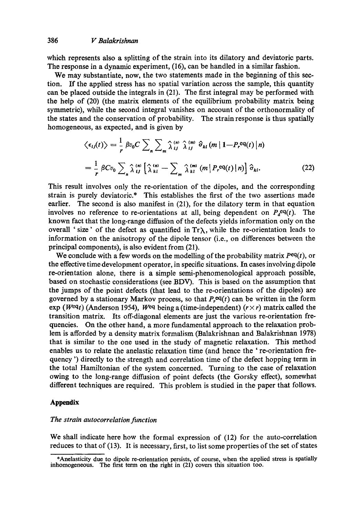which represents also a splitting of the strain into its dilatory and deviatoric parts. The response in a dynamic experiment, (16), can be handled in a similar fashion.

We may substantiate, now, the two statements made in the beginning of this section. If the applied stress has no spatial variation across the sample, this quantity can be placed outside the integrals in (21). The first integral may be performed with the help of (20) (the matrix elements of the equilibrium probability matrix being symmetric), while the second integral vanishes on account of the orthonormality of the states and the conservation of probability. The strain response is thus spatially homogeneous, as expected, and is given by

$$
\langle \epsilon_{ij}(t) \rangle = \frac{1}{r} \beta v_0 C \sum_{n} \sum_{m} \hat{\lambda}_{ij}^{(m)} \hat{\lambda}_{ij}^{(m)} \hat{\sigma}_{kl} (m | 1 - P_r^{eq}(t) | n)
$$
  

$$
= \frac{1}{r} \beta C v_0 \sum_{n} \hat{\lambda}_{ij}^{(n)} \left[ \hat{\lambda}_{kl}^{(n)} - \sum_{m} \hat{\lambda}_{kl}^{(m)} (m | P_r^{eq}(t) | n) \right] \hat{\sigma}_{kl}. \tag{22}
$$

This result involves only the re-orientation of the dipoles, and the corresponding strain is purely deviatorie.\* This establishes the first of the two assertions made earlier. The second is also manifest in (21), for the dilatory term in that equation involves no reference to re-orientations at all, being dependent on  $P<sub>a</sub>eq(t)$ . The known fact that the long-range diffusion of the defects yields information only on the overall 'size' of the defect as quantified in  $Tr\lambda$ , while the re-orientation leads to information on the anisotropy of the dipole tensor (i.e., on differences between the principal components), is also evident from (21).

We conclude with a few words on the modelling of the probability matrix  $P^{eq}(t)$ , or the effective time development operator, in specific situations. In cases involving dipole re-orientation alone, there is a simple semi-phenomenologieal approach possible, based on stoehastic considerations (see BDV). This is based on the assumption that the jumps of the point defects (that lead to the re-orientations of the dipoles) are governed by a stationary Markov process, so that  $P_r^{eq}(t)$  can be written in the form exp (Weqt) (Anderson 1954), Weq being a (time-independent) ( $r \times r$ ) matrix called the transition matrix. Its off-diagonal elements are just the various re-orientation frequencies. On the other hand, a more fundamental approach to the relaxation problem is afforded by a density matrix formalism (Balakrishnan and Balakrislman 1978) that is similar to the one used in the study of magnetic relaxation. This method enables us to relate the anelastic relaxation time (and hence the ' re-orientation frequency ') directly to the strength and correlation time of the defect hopping term in the total Hamiltonian of the system concerned. Turning to the case of relaxation owing to the long-range diffusion of point defects (the Gorsky effect), somewhat different techniques are required. This problem is studied in the paper that follows.

## **Appendix**

#### *The strain autocorrelation function*

We shall indicate here how the formal expression of (12) for the auto-correlation reduces to that of (13). It is necessary, first, to Iist some properties of the set of states

<sup>\*</sup>Anelasticity due to dipole re-orientation persists, of course, when the applied stress is spatially inhomogeneous. The first term on the right in (21) covers this situation too.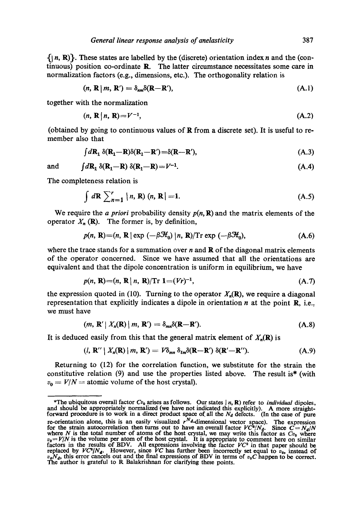$\{|n, R\rangle\}.$  These states are labelled by the (discrete) orientation index n and the (continuous) position co-ordinate R. The latter circumstance necessitates some care in normalization factors (e.g., dimensions, etc.). The orthogonality relation is

$$
(n, \mathbf{R} \mid m, \mathbf{R}') = \delta_{nm} \delta(\mathbf{R} - \mathbf{R}'), \tag{A.1}
$$

together with the normalization

$$
(n, \mathbf{R} \mid n, \mathbf{R}) = V^{-1},\tag{A.2}
$$

(obtained by going to continuous values of R from a discrete set). It is useful to remember also that

$$
\int d\mathbf{R}_1 \, \delta(\mathbf{R}_1 - \mathbf{R}) \delta(\mathbf{R}_1 - \mathbf{R}') = \delta(\mathbf{R} - \mathbf{R}'),\tag{A.3}
$$

and 
$$
\int d\mathbf{R}_1 \, \delta(\mathbf{R}_1 - \mathbf{R}) \, \delta(\mathbf{R}_1 - \mathbf{R}) = V^{-1}.
$$
 (A.4)

The completeness relation is

$$
\int d\mathbf{R} \sum_{n=1}^{r} |n, \mathbf{R}) (n, \mathbf{R}| = 1.
$$
 (A.5)

We require the *a priori* probability density  $p(n, \mathbf{R})$  and the matrix elements of the operator  $X_n(\mathbf{R})$ . The former is, by definition,

$$
p(n, \mathbf{R}) = (n, \mathbf{R} \mid \exp(-\beta \mathcal{H}_0) \mid n, \mathbf{R})/\mathrm{Tr} \exp(-\beta \mathcal{H}_0), \tag{A.6}
$$

where the trace stands for a summation over  $n$  and  $\bf{R}$  of the diagonal matrix elements of the operator concerned. Since we have assumed that all the orientations arc equivalent and that the dipole concentration is uniform in equilibrium, we have

$$
p(n, R) = (n, R | n, R)/\mathrm{Tr} \ 1 = (Vr)^{-1}, \tag{A.7}
$$

the expression quoted in (10). Turning to the operator  $X_n(\mathbf{R})$ , we require a diagonal representation that explicitly indicates a dipole in orientation  $n$  at the point  $\mathbf{R}$ , i.e., we must have

$$
(m, \mathbf{R}' | X_n(\mathbf{R}) | m, \mathbf{R}') = \delta_{mn} \delta(\mathbf{R} - \mathbf{R}'). \tag{A.8}
$$

It is deduced easily from this that the general matrix element of  $X_n(\mathbf{R})$  is

$$
(\mathbf{l},\mathbf{R}^{\prime\prime}\mid X_{n}(\mathbf{R})\mid m,\mathbf{R}^{\prime})=V\delta_{mn}\delta_{lm}\delta(\mathbf{R}-\mathbf{R}^{\prime})\delta(\mathbf{R}^{\prime}-\mathbf{R}^{\prime\prime}). \qquad (A.9)
$$

Returning to  $(12)$  for the correlation function, we substitute for the strain the constitutive relation *(9)* and use the properties listed above. The result is\* (with  $v_0 = V/N =$  atomic volume of the host crystal).

<sup>\*</sup>The ubiquitous overall factor  $Cv_0$  arises as follows. Our states | n, R) refer to *individual* dipoles, and should be appropriately normalized (we have not indicated this explicitly). A more straight-<br>forward procedure re-orientation alone, this is an easily visualized  $r''$ -dimensional vector space). The expression for the strain autocorrelation then turns out to have an overall factor  $VC^2/N_d$ . Since  $C = N_d/N$ where N is the total number of atoms of the host crystal, we may write this factor as  $Cv_0$  where  $v_0 = V/N$  is the volume per atom of the host crystal. It is appropriate to comment here on similar factors in the results o replaced by  $VC^2/N_d$ . However, since *VC* has further been incorrectly set equal to  $v_0$ , instead of  $v_0N_d$ , this error cancels out and the final expressions of BDV in terms of  $v_0C$  happen to be correct. The author is grateful to R Balakrishnan for clarifying these points.